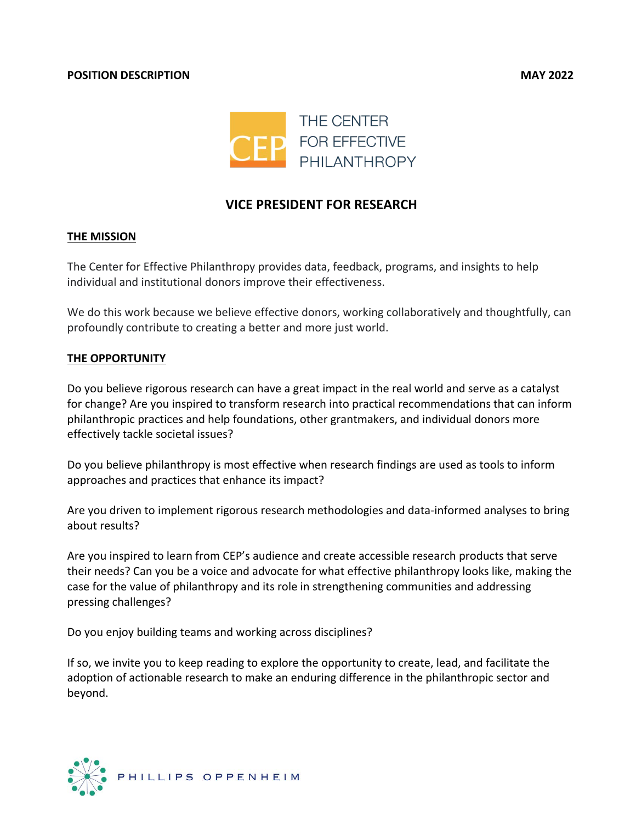

# **VICE PRESIDENT FOR RESEARCH**

#### **THE MISSION**

The Center for Effective Philanthropy provides data, feedback, programs, and insights to help individual and institutional donors improve their effectiveness.

We do this work because we believe effective donors, working collaboratively and thoughtfully, can profoundly contribute to creating a better and more just world.

#### **THE OPPORTUNITY**

Do you believe rigorous research can have a great impact in the real world and serve as a catalyst for change? Are you inspired to transform research into practical recommendations that can inform philanthropic practices and help foundations, other grantmakers, and individual donors more effectively tackle societal issues?

Do you believe philanthropy is most effective when research findings are used as tools to inform approaches and practices that enhance its impact?

Are you driven to implement rigorous research methodologies and data-informed analyses to bring about results?

Are you inspired to learn from CEP's audience and create accessible research products that serve their needs? Can you be a voice and advocate for what effective philanthropy looks like, making the case for the value of philanthropy and its role in strengthening communities and addressing pressing challenges?

Do you enjoy building teams and working across disciplines?

If so, we invite you to keep reading to explore the opportunity to create, lead, and facilitate the adoption of actionable research to make an enduring difference in the philanthropic sector and beyond.

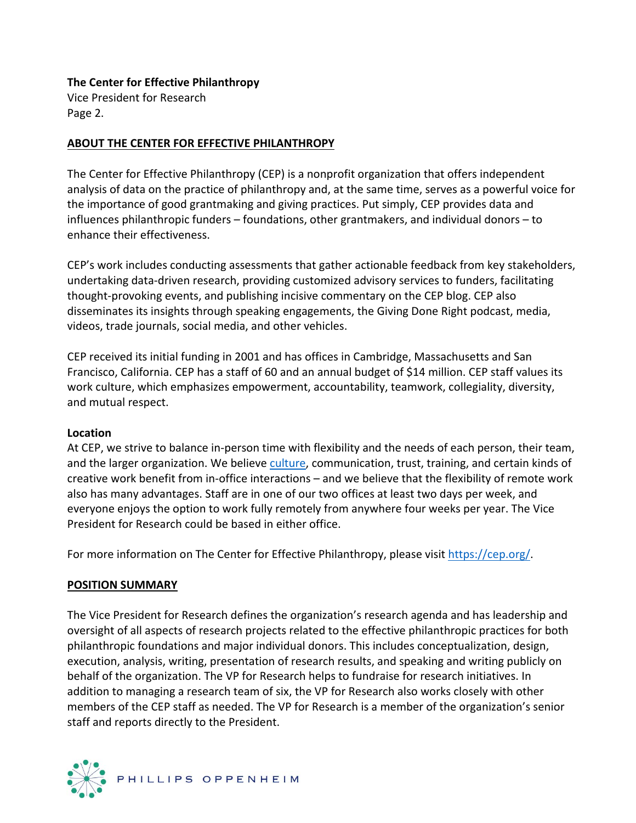#### **The Center for Effective Philanthropy**

Vice President for Research Page 2.

#### **ABOUT THE CENTER FOR EFFECTIVE PHILANTHROPY**

The Center for Effective Philanthropy (CEP) is a nonprofit organization that offers independent analysis of data on the practice of philanthropy and, at the same time, serves as a powerful voice for the importance of good grantmaking and giving practices. Put simply, CEP provides data and influences philanthropic funders – foundations, other grantmakers, and individual donors – to enhance their effectiveness.

CEP's work includes conducting assessments that gather actionable feedback from key stakeholders, undertaking data-driven research, providing customized advisory services to funders, facilitating thought-provoking events, and publishing incisive commentary on the CEP blog. CEP also disseminates its insights through speaking engagements, the Giving Done Right podcast, media, videos, trade journals, social media, and other vehicles.

CEP received its initial funding in 2001 and has offices in Cambridge, Massachusetts and San Francisco, California. CEP has a staff of 60 and an annual budget of \$14 million. CEP staff values its work culture, which emphasizes empowerment, accountability, teamwork, collegiality, diversity, and mutual respect.

#### **Location**

At CEP, we strive to balance in-person time with flexibility and the needs of each person, their team, and the larger organization. We believe [culture,](https://nam10.safelinks.protection.outlook.com/?url=http%3A%2F%2Fcep.org%2Fwp-content%2Fuploads%2F2017%2F01%2FCEP-Culture-Document-2017.pdf&data=04%7C01%7Cjayk%40cep.org%7Ceaa772752679471d4cc408d9e7534323%7Cad98e360023b496daa1cd345a62a8d5a%7C0%7C0%7C637795167071618262%7CUnknown%7CTWFpbGZsb3d8eyJWIjoiMC4wLjAwMDAiLCJQIjoiV2luMzIiLCJBTiI6Ik1haWwiLCJXVCI6Mn0%3D%7C3000&sdata=ZBvtM4Sf1cXlT1CXzjF04g783JGUn7o9menCfxjy%2Bms%3D&reserved=0) communication, trust, training, and certain kinds of creative work benefit from in-office interactions – and we believe that the flexibility of remote work also has many advantages. Staff are in one of our two offices at least two days per week, and everyone enjoys the option to work fully remotely from anywhere four weeks per year. The Vice President for Research could be based in either office.

For more information on The Center for Effective Philanthropy, please visit [https://cep.org/.](https://cep.org/)

### **POSITION SUMMARY**

The Vice President for Research defines the organization's research agenda and has leadership and oversight of all aspects of research projects related to the effective philanthropic practices for both philanthropic foundations and major individual donors. This includes conceptualization, design, execution, analysis, writing, presentation of research results, and speaking and writing publicly on behalf of the organization. The VP for Research helps to fundraise for research initiatives. In addition to managing a research team of six, the VP for Research also works closely with other members of the CEP staff as needed. The VP for Research is a member of the organization's senior staff and reports directly to the President.

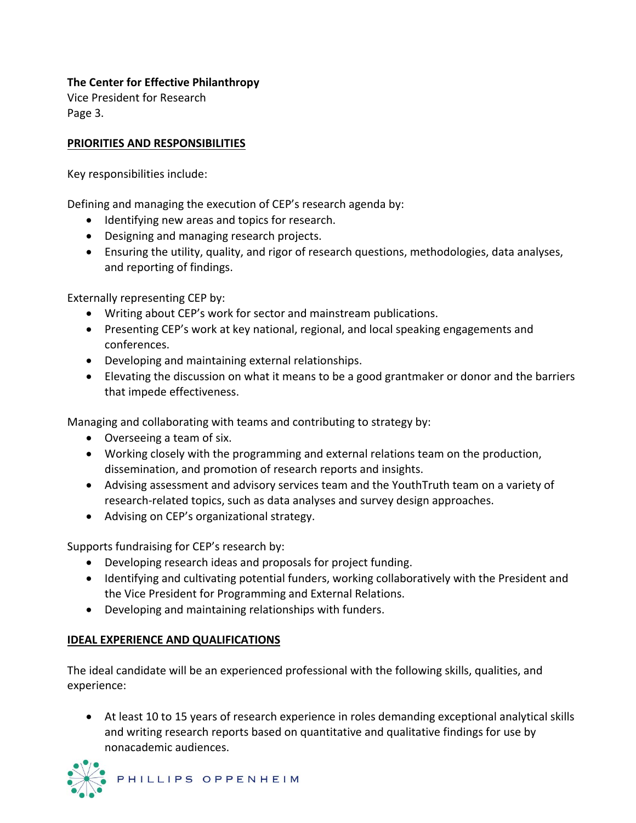# **The Center for Effective Philanthropy**

Vice President for Research Page 3.

### **PRIORITIES AND RESPONSIBILITIES**

Key responsibilities include:

Defining and managing the execution of CEP's research agenda by:

- Identifying new areas and topics for research.
- Designing and managing research projects.
- Ensuring the utility, quality, and rigor of research questions, methodologies, data analyses, and reporting of findings.

Externally representing CEP by:

- Writing about CEP's work for sector and mainstream publications.
- Presenting CEP's work at key national, regional, and local speaking engagements and conferences.
- Developing and maintaining external relationships.
- Elevating the discussion on what it means to be a good grantmaker or donor and the barriers that impede effectiveness.

Managing and collaborating with teams and contributing to strategy by:

- Overseeing a team of six.
- Working closely with the programming and external relations team on the production, dissemination, and promotion of research reports and insights.
- Advising assessment and advisory services team and the YouthTruth team on a variety of research-related topics, such as data analyses and survey design approaches.
- Advising on CEP's organizational strategy.

Supports fundraising for CEP's research by:

- Developing research ideas and proposals for project funding.
- Identifying and cultivating potential funders, working collaboratively with the President and the Vice President for Programming and External Relations.
- Developing and maintaining relationships with funders.

### **IDEAL EXPERIENCE AND QUALIFICATIONS**

The ideal candidate will be an experienced professional with the following skills, qualities, and experience:

• At least 10 to 15 years of research experience in roles demanding exceptional analytical skills and writing research reports based on quantitative and qualitative findings for use by nonacademic audiences.